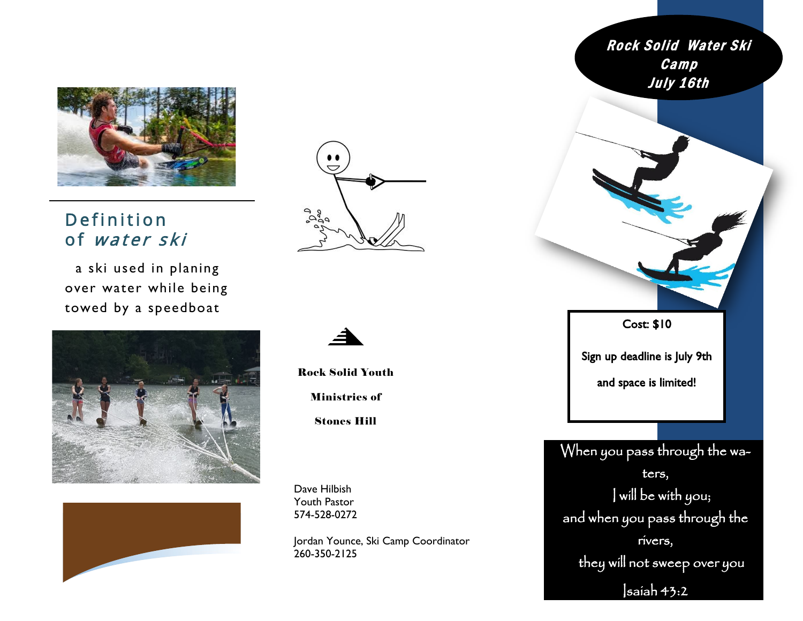

## Definition of water ski

a ski used in planing over water while being towed by a speedboat









Rock Solid Youth Ministries of

Stones Hill

Dave Hilbish Youth Pastor 574-528-0272

Jordan Younce, Ski Camp Coordinator 260-350-2125

Rock Solid Water Ski **Camp** July 16th When you pass through the waters, I will be with you; and when you pass through the rivers, they will not sweep over you  $s$ aiah 43:2 Cost: \$10 Sign up deadline is July 9th and space is limited!